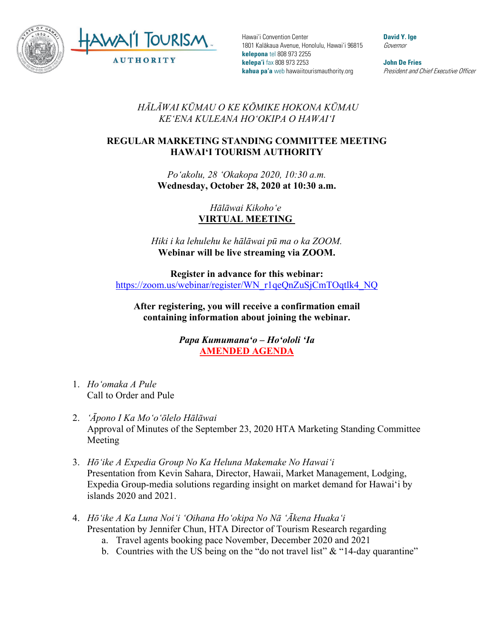

Hawai'i Convention Center 1801 Kalākaua Avenue, Honolulu, Hawai'i 96815 **kelepona** tel 808 973 2255 **kelepa'i** fax 808 973 2253 **kahua pa'a** web hawaiitourismauthority.org

**David Y. Ige** Governor

**John De Fries** President and Chief Executive Officer

*HĀLĀWAI KŪMAU O KE KŌMIKE HOKONA KŪMAU KEʻENA KULEANA HOʻOKIPA O HAWAIʻI* 

## **REGULAR MARKETING STANDING COMMITTEE MEETING HAWAI'I TOURISM AUTHORITY**

*Poʻakolu, 28 ʻOkakopa 2020, 10:30 a.m.* **Wednesday, October 28, 2020 at 10:30 a.m.**

> *Hālāwai Kikohoʻe* **VIRTUAL MEETING**

*Hiki i ka lehulehu ke hālāwai pū ma o ka ZOOM.* **Webinar will be live streaming via ZOOM.**

**Register in advance for this webinar:** [https://zoom.us/webinar/register/WN\\_r1qeQnZuSjCmTOqtlk4\\_NQ](https://zoom.us/webinar/register/WN_r1qeQnZuSjCmTOqtlk4_NQ)

**After registering, you will receive a confirmation email containing information about joining the webinar.**

> *Papa Kumumanaʻo – Hoʻololi ʻIa* **AMENDED AGENDA**

- 1. *Hoʻomaka A Pule* Call to Order and Pule
- 2. *ʻĀpono I Ka Moʻoʻōlelo Hālāwai*  Approval of Minutes of the September 23, 2020 HTA Marketing Standing Committee Meeting
- 3. *Hōʻike A Expedia Group No Ka Heluna Makemake No Hawaiʻi* Presentation from Kevin Sahara, Director, Hawaii, Market Management, Lodging, Expedia Group-media solutions regarding insight on market demand for Hawai'i by islands 2020 and 2021.
- 4. *Hōʻike A Ka Luna Noiʻi ʻOihana Hoʻokipa No Nā ʻĀkena Huakaʻi* Presentation by Jennifer Chun, HTA Director of Tourism Research regarding
	- a. Travel agents booking pace November, December 2020 and 2021
	- b. Countries with the US being on the "do not travel list"  $&$  "14-day quarantine"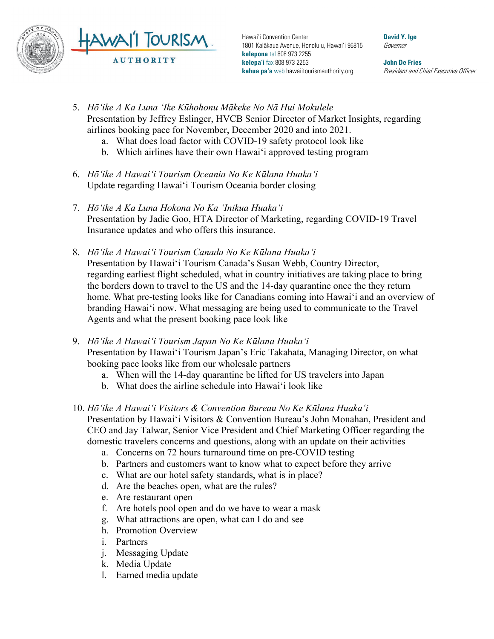

Hawai'i Convention Center 1801 Kalākaua Avenue, Honolulu, Hawai'i 96815 **kelepona** tel 808 973 2255 **kelepa'i** fax 808 973 2253 **kahua pa'a** web hawaiitourismauthority.org

**David Y. Ige** Governor

**John De Fries** President and Chief Executive Officer

- 5. *Hōʻike A Ka Luna ʻIke Kūhohonu Mākeke No Nā Hui Mokulele* Presentation by Jeffrey Eslinger, HVCB Senior Director of Market Insights, regarding airlines booking pace for November, December 2020 and into 2021.
	- a. What does load factor with COVID-19 safety protocol look like
	- b. Which airlines have their own Hawai'i approved testing program
- 6. *Hōʻike A Hawaiʻi Tourism Oceania No Ke Kūlana Huakaʻi* Update regarding Hawai'i Tourism Oceania border closing
- 7. *Hōʻike A Ka Luna Hokona No Ka ʻInikua Huakaʻi* Presentation by Jadie Goo, HTA Director of Marketing, regarding COVID-19 Travel Insurance updates and who offers this insurance.
- 8. *Hōʻike A Hawaiʻi Tourism Canada No Ke Kūlana Huakaʻi* Presentation by Hawai'i Tourism Canada's Susan Webb, Country Director, regarding earliest flight scheduled, what in country initiatives are taking place to bring the borders down to travel to the US and the 14-day quarantine once the they return home. What pre-testing looks like for Canadians coming into Hawai'i and an overview of branding Hawai'i now. What messaging are being used to communicate to the Travel Agents and what the present booking pace look like
- 9. *Hōʻike A Hawaiʻi Tourism Japan No Ke Kūlana Huakaʻi* Presentation by Hawai'i Tourism Japan's Eric Takahata, Managing Director, on what booking pace looks like from our wholesale partners
	- a. When will the 14-day quarantine be lifted for US travelers into Japan
	- b. What does the airline schedule into Hawai'i look like
- 10. *Hōʻike A Hawaiʻi Visitors & Convention Bureau No Ke Kūlana Huakaʻi* Presentation by Hawai'i Visitors & Convention Bureau's John Monahan, President and CEO and Jay Talwar, Senior Vice President and Chief Marketing Officer regarding the domestic travelers concerns and questions, along with an update on their activities
	- a. Concerns on 72 hours turnaround time on pre-COVID testing
	- b. Partners and customers want to know what to expect before they arrive
	- c. What are our hotel safety standards, what is in place?
	- d. Are the beaches open, what are the rules?
	- e. Are restaurant open
	- f. Are hotels pool open and do we have to wear a mask
	- g. What attractions are open, what can I do and see
	- h. Promotion Overview
	- i. Partners
	- j. Messaging Update
	- k. Media Update
	- l. Earned media update